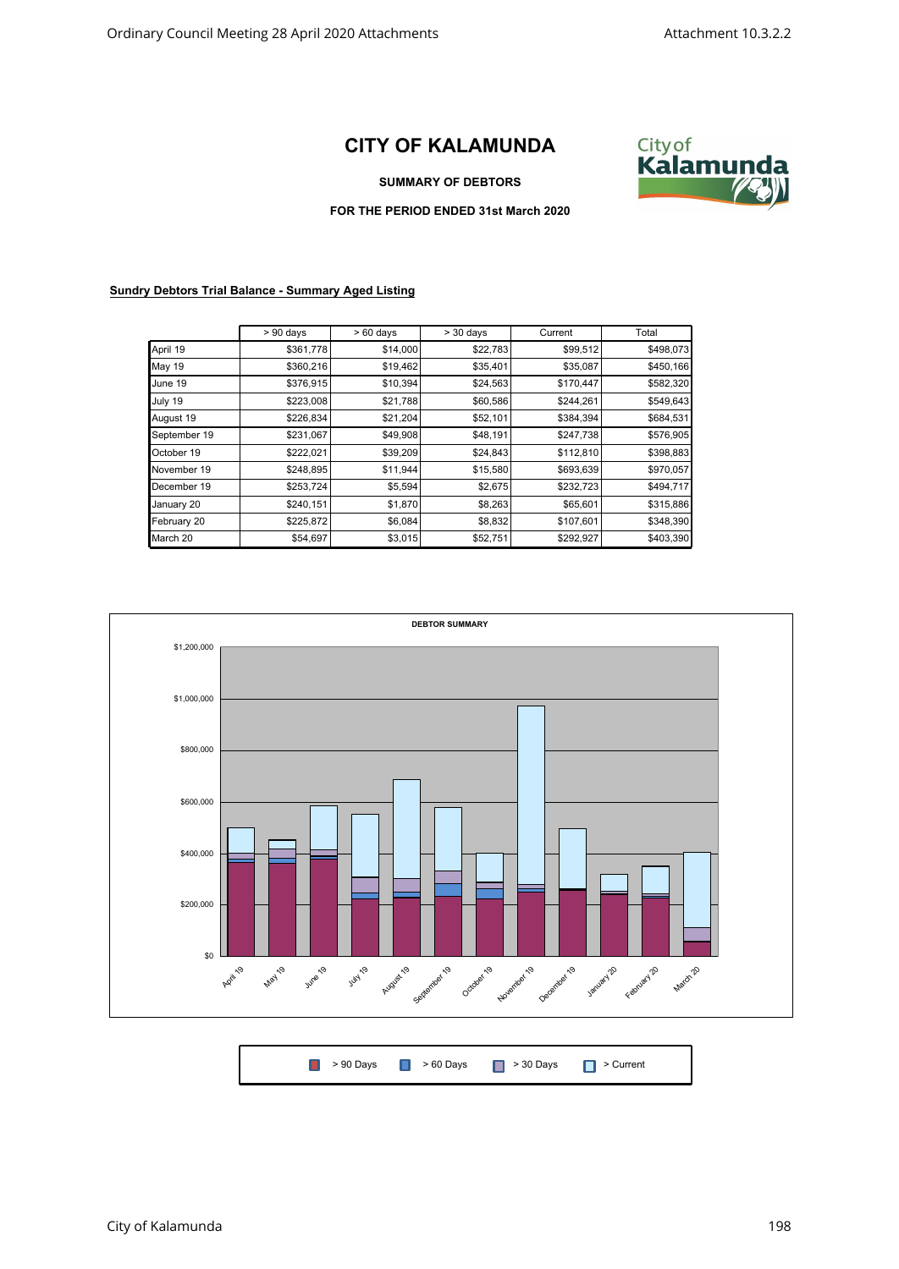## **CITY OF KALAMUNDA**



## **SUMMARY OF DEBTORS**

## **FOR THE PERIOD ENDED 31st March 2020**

## **Sundry Debtors Trial Balance - Summary Aged Listing**

|               | $> 90$ days | $>60$ days | $>$ 30 days | Current   | Total     |
|---------------|-------------|------------|-------------|-----------|-----------|
| April 19      | \$361,778   | \$14,000   | \$22,783    | \$99,512  | \$498,073 |
| <b>May 19</b> | \$360,216   | \$19,462   | \$35,401    | \$35,087  | \$450,166 |
| June 19       | \$376,915   | \$10,394   | \$24,563    | \$170,447 | \$582,320 |
| July 19       | \$223,008   | \$21,788   | \$60,586    | \$244,261 | \$549,643 |
| August 19     | \$226,834   | \$21,204   | \$52,101    | \$384,394 | \$684,531 |
| September 19  | \$231,067   | \$49,908   | \$48,191    | \$247,738 | \$576,905 |
| October 19    | \$222,021   | \$39,209   | \$24,843    | \$112,810 | \$398,883 |
| November 19   | \$248,895   | \$11,944   | \$15,580    | \$693,639 | \$970,057 |
| December 19   | \$253,724   | \$5,594    | \$2,675     | \$232,723 | \$494,717 |
| January 20    | \$240,151   | \$1,870    | \$8,263     | \$65,601  | \$315,886 |
| February 20   | \$225,872   | \$6,084    | \$8,832     | \$107,601 | \$348,390 |
| March 20      | \$54,697    | \$3,015    | \$52,751    | \$292,927 | \$403,390 |